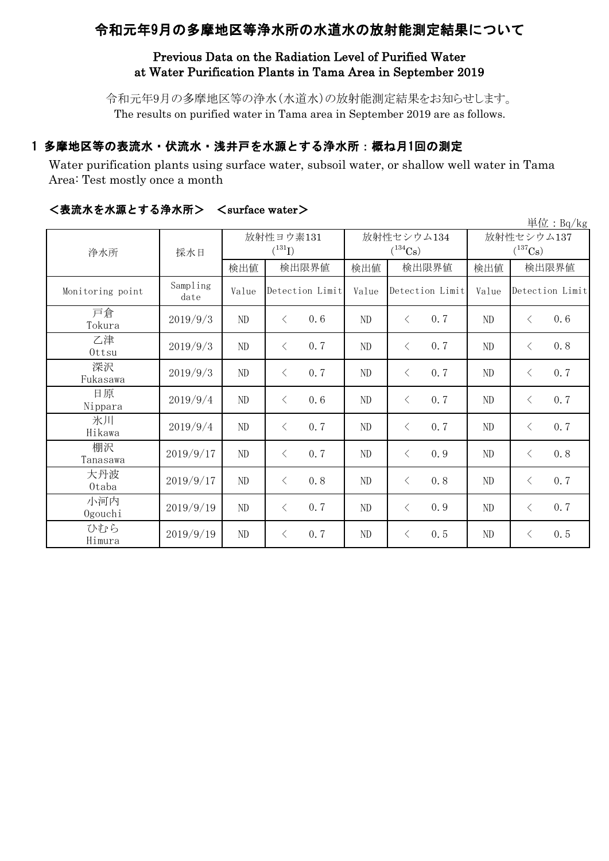# 令和元年9月の多摩地区等浄水所の水道水の放射能測定結果について

# Previous Data on the Radiation Level of Purified Water at Water Purification Plants in Tama Area in September 2019

令和元年9月の多摩地区等の浄水(水道水)の放射能測定結果をお知らせします。 The results on purified water in Tama area in September 2019 are as follows.

# 1 多摩地区等の表流水・伏流水・浅井戸を水源とする浄水所:概ね月1回の測定

Water purification plants using surface water, subsoil water, or shallow well water in Tama Area: Test mostly once a month

|                  |                  |                          |                  |       |                            |                                     | 単位:Bq/kg         |  |
|------------------|------------------|--------------------------|------------------|-------|----------------------------|-------------------------------------|------------------|--|
| 浄水所              | 採水日              | 放射性ヨウ素131<br>$(^{131}I)$ |                  |       | 放射性セシウム134<br>$(^{134}Cs)$ | 放射性セシウム137<br>$(^{137}\mathrm{Cs})$ |                  |  |
|                  |                  | 検出値                      | 検出限界値            | 検出値   | 検出限界値                      | 検出値                                 | 検出限界値            |  |
| Monitoring point | Sampling<br>date | Value                    | Detection Limit  | Value | Detection Limit            | Value                               | Detection Limit  |  |
| 戸倉<br>Tokura     | 2019/9/3         | ND                       | 0.6<br>$\langle$ | ND    | 0.7<br>$\langle$           | ND                                  | 0.6<br>$\langle$ |  |
| 乙津<br>Ottsu      | 2019/9/3         | ND                       | 0.7<br>$\langle$ | ND    | $\langle$<br>0.7           | ND                                  | 0.8<br>$\langle$ |  |
| 深沢<br>Fukasawa   | 2019/9/3         | ND                       | 0.7<br>$\langle$ | ND    | 0.7<br>$\lt$               | ND                                  | 0.7<br>$\langle$ |  |
| 日原<br>Nippara    | 2019/9/4         | ND                       | 0.6<br>$\langle$ | ND    | 0.7<br>$\lt$               | ND                                  | 0.7<br>$\langle$ |  |
| 氷川<br>Hikawa     | 2019/9/4         | ND                       | 0.7<br>$\langle$ | ND    | 0.7<br>$\langle$           | ND                                  | 0.7<br>$\langle$ |  |
| 棚沢<br>Tanasawa   | 2019/9/17        | ND                       | 0.7<br>$\lt$     | ND    | 0.9<br>$\langle$           | ND                                  | 0.8<br>$\langle$ |  |
| 大丹波<br>0taba     | 2019/9/17        | ND                       | 0.8<br>$\lt$     | ND    | 0.8<br>$\langle$           | ND                                  | 0.7<br>$\langle$ |  |
| 小河内<br>Ogouchi   | 2019/9/19        | ND                       | 0.7<br>$\langle$ | ND    | 0.9<br>$\langle$           | ND                                  | 0.7<br>$\langle$ |  |
| ひむら<br>Himura    | 2019/9/19        | $\rm ND$                 | 0.7<br>$\lt$     | ND    | 0.5<br>$\lt$               | ND                                  | 0.5<br>$\lt$     |  |

## <表流水を水源とする浄水所> <surface water>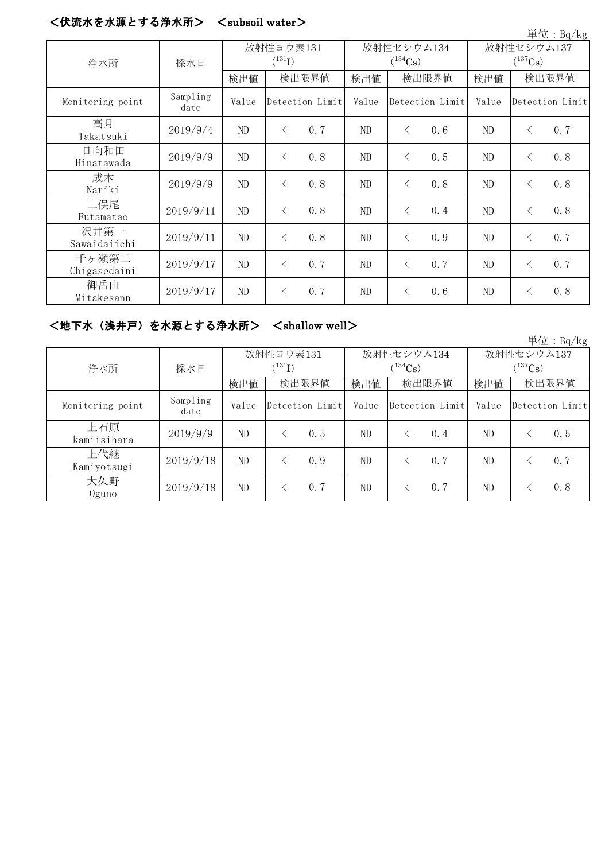#### <伏流水を水源とする浄水所> <subsoil water>

|                       |                  |                          |                 |                            |       |                 |                            |       |           | 単位: Bq/kg       |
|-----------------------|------------------|--------------------------|-----------------|----------------------------|-------|-----------------|----------------------------|-------|-----------|-----------------|
| 浄水所                   | 採水日              | 放射性ヨウ素131<br>$(^{131}I)$ |                 | 放射性セシウム134<br>$(^{134}Cs)$ |       |                 | 放射性セシウム137<br>$(^{137}Cs)$ |       |           |                 |
|                       |                  | 検出値                      | 検出限界値           |                            | 検出値   | 検出限界値           |                            | 検出値   | 検出限界値     |                 |
| Monitoring point      | Sampling<br>date | Value                    | Detection Limit |                            | Value | Detection Limit |                            | Value |           | Detection Limit |
| 高月<br>Takatsuki       | 2019/9/4         | ND                       | $\langle$       | 0.7                        | ND    | $\langle$       | 0.6                        | ND    | $\langle$ | 0.7             |
| 日向和田<br>Hinatawada    | 2019/9/9         | ND                       | $\langle$       | 0.8                        | ND    | $\langle$       | 0.5                        | ND    | $\lt$     | 0.8             |
| 成木<br>Nariki          | 2019/9/9         | ND                       | $\lt$           | 0.8                        | ND    | $\lt$           | 0.8                        | ND    | $\lt$     | 0.8             |
| 二俣尾<br>Futamatao      | 2019/9/11        | ND                       | $\lt$           | 0.8                        | ND    | $\langle$       | 0.4                        | ND    | $\langle$ | 0.8             |
| 沢井第一<br>Sawaidaiichi  | 2019/9/11        | ND                       | $\langle$       | 0.8                        | ND    | $\lt$           | 0.9                        | ND    | $\langle$ | 0.7             |
| 千ヶ瀬第二<br>Chigasedaini | 2019/9/17        | ND                       | $\lt$           | 0.7                        | ND    | $\langle$       | 0.7                        | ND    | $\lt$     | 0.7             |
| 御岳山<br>Mitakesann     | 2019/9/17        | ND                       | $\langle$       | 0.7                        | ND    | $\langle$       | 0.6                        | ND    | $\langle$ | 0.8             |

## <地下水(浅井戸)を水源とする浄水所> <shallow well>

単位:Bq/kg 検出値 | 検出限直 | 検出限界値 | 検出値 | 検出限界値 Monitoring point Sampling<br>date mpiing | Value |Detection Limit | Value |Detection Limit | Value |Detection Limit | date | Detection Limit | Value | Detection Limit | Value | Detection Limit | Value | Detection Limit | Value | Detection Limit | Value | D 上石原  $\frac{11}{20}$   $\frac{11}{20}$   $\frac{11}{20}$   $\frac{1}{20}$   $\frac{2019}{9/9}$  ND  $\leq$  0.5 ND  $\leq$  0.4 ND  $\leq$  0.5 上代継  $\frac{11}{100}$   $\frac{1}{100}$  2019/9/18 ND < 0.9 ND < 0.7 ND < 0.7 大久野 Oguno 2019/9/18 ND <sup>&</sup>lt; 0.7 ND <sup>&</sup>lt; 0.7 ND <sup>&</sup>lt; 0.8 浄水所 採水日 放射性ヨウ素131  $({}^{131}\text{I})$ 放射性セシウム134  $(134)$ Cs 放射性セシウム137  $(137)$ Cs)